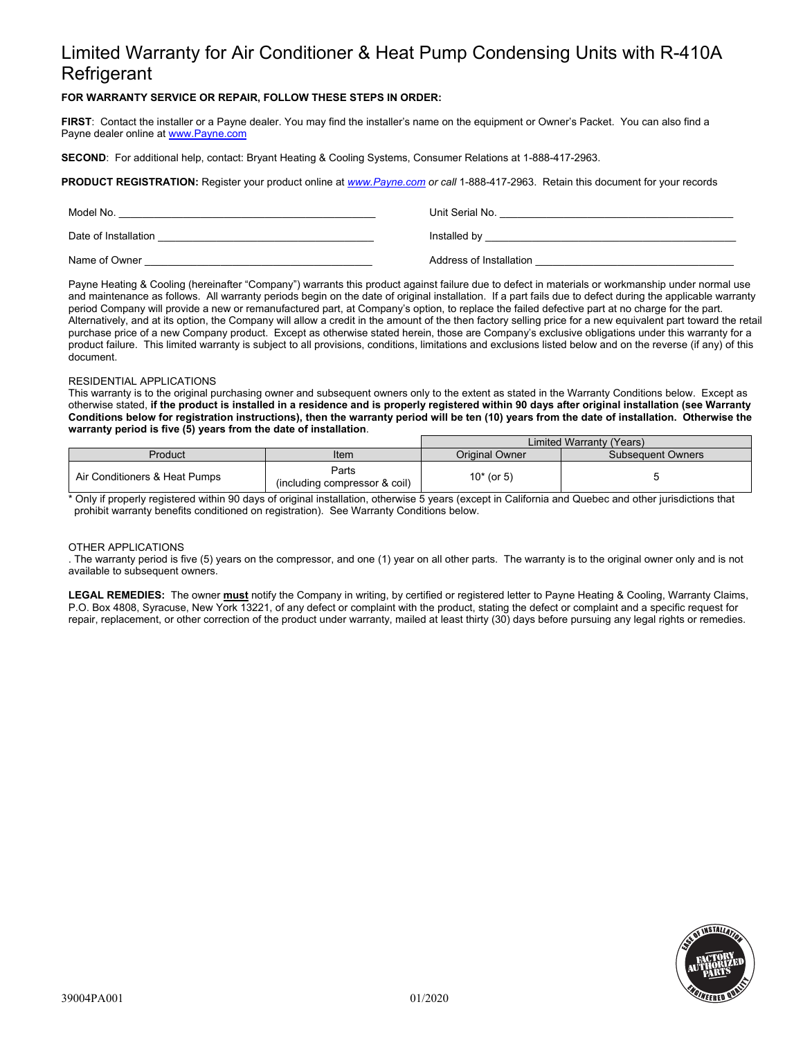# Limited Warranty for Air Conditioner & Heat Pump Condensing Units with R-410A **Refrigerant**

## **FOR WARRANTY SERVICE OR REPAIR, FOLLOW THESE STEPS IN ORDER:**

**FIRST**: Contact the installer or a Payne dealer. You may find the installer's name on the equipment or Owner's Packet. You can also find a Payne dealer online at www.Payne.com

**SECOND**: For additional help, contact: Bryant Heating & Cooling Systems, Consumer Relations at 1-888-417-2963.

**PRODUCT REGISTRATION:** Register your product online at *www.Payne.com or call* 1-888-417-2963.Retain this document for your records

| Model No.            | Unit Serial No.         |
|----------------------|-------------------------|
| Date of Installation | Installed by            |
| Name of Owner        | Address of Installation |

Payne Heating & Cooling (hereinafter "Company") warrants this product against failure due to defect in materials or workmanship under normal use and maintenance as follows. All warranty periods begin on the date of original installation. If a part fails due to defect during the applicable warranty period Company will provide a new or remanufactured part, at Company's option, to replace the failed defective part at no charge for the part. Alternatively, and at its option, the Company will allow a credit in the amount of the then factory selling price for a new equivalent part toward the retail purchase price of a new Company product. Except as otherwise stated herein, those are Company's exclusive obligations under this warranty for a product failure. This limited warranty is subject to all provisions, conditions, limitations and exclusions listed below and on the reverse (if any) of this document.

### RESIDENTIAL APPLICATIONS

This warranty is to the original purchasing owner and subsequent owners only to the extent as stated in the Warranty Conditions below. Except as otherwise stated, **if the product is installed in a residence and is properly registered within 90 days after original installation (see Warranty Conditions below for registration instructions), then the warranty period will be ten (10) years from the date of installation. Otherwise the warranty period is five (5) years from the date of installation**.

|                               |                                        | Limited Warranty (Years) |                          |
|-------------------------------|----------------------------------------|--------------------------|--------------------------|
| Product                       | Item                                   | <b>Original Owner</b>    | <b>Subsequent Owners</b> |
| Air Conditioners & Heat Pumps | Parts<br>(including compressor & coil) | $10*$ (or 5)             |                          |

\* Only if properly registered within 90 days of original installation, otherwise 5 years (except in California and Quebec and other jurisdictions that prohibit warranty benefits conditioned on registration). See Warranty Conditions below.

#### OTHER APPLICATIONS

. The warranty period is five (5) years on the compressor, and one (1) year on all other parts. The warranty is to the original owner only and is not available to subsequent owners.

**LEGAL REMEDIES:** The owner **must** notify the Company in writing, by certified or registered letter to Payne Heating & Cooling, Warranty Claims, P.O. Box 4808, Syracuse, New York 13221, of any defect or complaint with the product, stating the defect or complaint and a specific request for repair, replacement, or other correction of the product under warranty, mailed at least thirty (30) days before pursuing any legal rights or remedies.